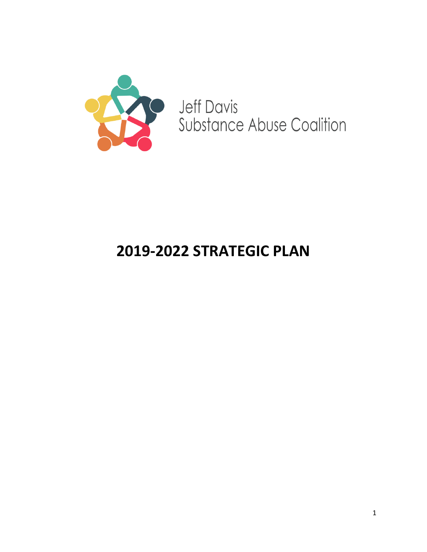

**Jeff Davis** Substance Abuse Coalition

# **2019-2022 STRATEGIC PLAN**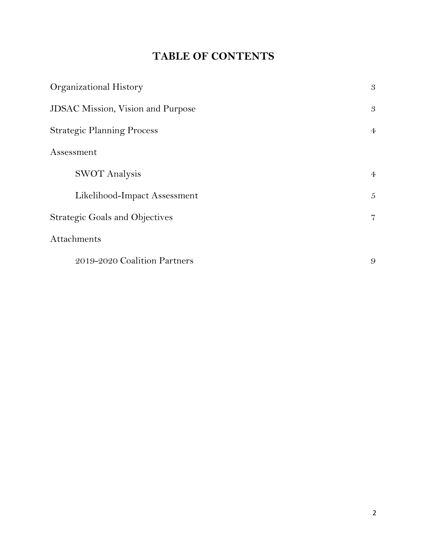# **TABLE OF CONTENTS**

| Organizational History                   | 3              |
|------------------------------------------|----------------|
| <b>JDSAC Mission, Vision and Purpose</b> | $\mathfrak{B}$ |
| <b>Strategic Planning Process</b>        | $\overline{4}$ |
| Assessment                               |                |
| <b>SWOT</b> Analysis                     | $\overline{4}$ |
| Likelihood-Impact Assessment             | 5              |
| <b>Strategic Goals and Objectives</b>    | $\overline{7}$ |
| Attachments                              |                |
| 2019-2020 Coalition Partners             | 9              |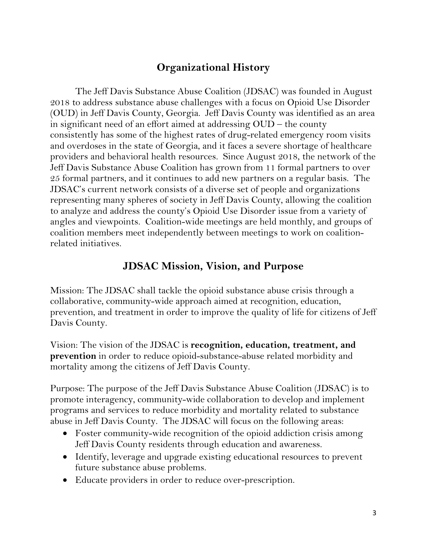## **Organizational History**

The Jeff Davis Substance Abuse Coalition (JDSAC) was founded in August 2018 to address substance abuse challenges with a focus on Opioid Use Disorder (OUD) in Jeff Davis County, Georgia. Jeff Davis County was identified as an area in significant need of an effort aimed at addressing OUD – the county consistently has some of the highest rates of drug-related emergency room visits and overdoses in the state of Georgia, and it faces a severe shortage of healthcare providers and behavioral health resources. Since August 2018, the network of the Jeff Davis Substance Abuse Coalition has grown from 11 formal partners to over 25 formal partners, and it continues to add new partners on a regular basis. The JDSAC's current network consists of a diverse set of people and organizations representing many spheres of society in Jeff Davis County, allowing the coalition to analyze and address the county's Opioid Use Disorder issue from a variety of angles and viewpoints. Coalition-wide meetings are held monthly, and groups of coalition members meet independently between meetings to work on coalitionrelated initiatives.

### **JDSAC Mission, Vision, and Purpose**

Mission: The JDSAC shall tackle the opioid substance abuse crisis through a collaborative, community-wide approach aimed at recognition, education, prevention, and treatment in order to improve the quality of life for citizens of Jeff Davis County.

Vision: The vision of the JDSAC is **recognition, education, treatment, and prevention** in order to reduce opioid-substance-abuse related morbidity and mortality among the citizens of Jeff Davis County.

Purpose: The purpose of the Jeff Davis Substance Abuse Coalition (JDSAC) is to promote interagency, community-wide collaboration to develop and implement programs and services to reduce morbidity and mortality related to substance abuse in Jeff Davis County. The JDSAC will focus on the following areas:

- Foster community-wide recognition of the opioid addiction crisis among Jeff Davis County residents through education and awareness.
- Identify, leverage and upgrade existing educational resources to prevent future substance abuse problems.
- Educate providers in order to reduce over-prescription.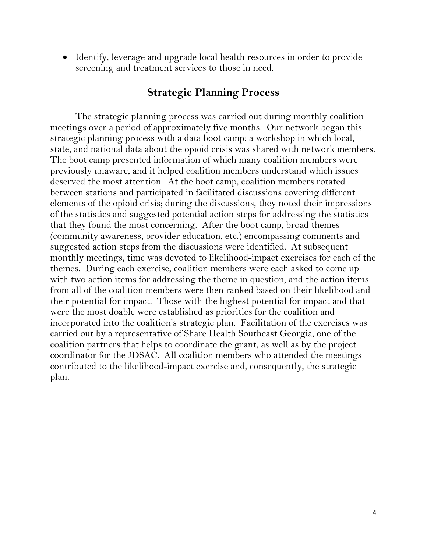• Identify, leverage and upgrade local health resources in order to provide screening and treatment services to those in need.

#### **Strategic Planning Process**

The strategic planning process was carried out during monthly coalition meetings over a period of approximately five months. Our network began this strategic planning process with a data boot camp: a workshop in which local, state, and national data about the opioid crisis was shared with network members. The boot camp presented information of which many coalition members were previously unaware, and it helped coalition members understand which issues deserved the most attention. At the boot camp, coalition members rotated between stations and participated in facilitated discussions covering different elements of the opioid crisis; during the discussions, they noted their impressions of the statistics and suggested potential action steps for addressing the statistics that they found the most concerning. After the boot camp, broad themes (community awareness, provider education, etc.) encompassing comments and suggested action steps from the discussions were identified. At subsequent monthly meetings, time was devoted to likelihood-impact exercises for each of the themes. During each exercise, coalition members were each asked to come up with two action items for addressing the theme in question, and the action items from all of the coalition members were then ranked based on their likelihood and their potential for impact. Those with the highest potential for impact and that were the most doable were established as priorities for the coalition and incorporated into the coalition's strategic plan. Facilitation of the exercises was carried out by a representative of Share Health Southeast Georgia, one of the coalition partners that helps to coordinate the grant, as well as by the project coordinator for the JDSAC. All coalition members who attended the meetings contributed to the likelihood-impact exercise and, consequently, the strategic plan.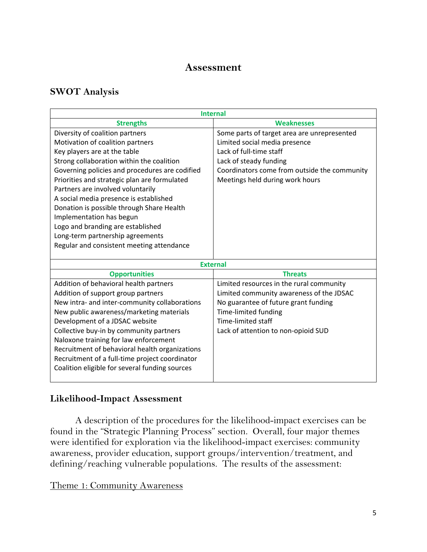#### **Assessment**

#### **SWOT Analysis**

| <b>Internal</b>                                                                                                                                                                                                                                                                                                                                                                                                                                                                                                                  |                                                                                                                                                                                                                      |  |  |
|----------------------------------------------------------------------------------------------------------------------------------------------------------------------------------------------------------------------------------------------------------------------------------------------------------------------------------------------------------------------------------------------------------------------------------------------------------------------------------------------------------------------------------|----------------------------------------------------------------------------------------------------------------------------------------------------------------------------------------------------------------------|--|--|
| <b>Strengths</b>                                                                                                                                                                                                                                                                                                                                                                                                                                                                                                                 | <b>Weaknesses</b>                                                                                                                                                                                                    |  |  |
| Diversity of coalition partners<br>Motivation of coalition partners<br>Key players are at the table<br>Strong collaboration within the coalition<br>Governing policies and procedures are codified<br>Priorities and strategic plan are formulated<br>Partners are involved voluntarily<br>A social media presence is established<br>Donation is possible through Share Health<br>Implementation has begun<br>Logo and branding are established<br>Long-term partnership agreements<br>Regular and consistent meeting attendance | Some parts of target area are unrepresented<br>Limited social media presence<br>Lack of full-time staff<br>Lack of steady funding<br>Coordinators come from outside the community<br>Meetings held during work hours |  |  |
| <b>External</b>                                                                                                                                                                                                                                                                                                                                                                                                                                                                                                                  |                                                                                                                                                                                                                      |  |  |
| <b>Opportunities</b>                                                                                                                                                                                                                                                                                                                                                                                                                                                                                                             | <b>Threats</b>                                                                                                                                                                                                       |  |  |
| Addition of behavioral health partners<br>Addition of support group partners<br>New intra- and inter-community collaborations<br>New public awareness/marketing materials<br>Development of a JDSAC website<br>Collective buy-in by community partners<br>Naloxone training for law enforcement<br>Recruitment of behavioral health organizations<br>Recruitment of a full-time project coordinator<br>Coalition eligible for several funding sources                                                                            | Limited resources in the rural community<br>Limited community awareness of the JDSAC<br>No guarantee of future grant funding<br>Time-limited funding<br>Time-limited staff<br>Lack of attention to non-opioid SUD    |  |  |

#### **Likelihood-Impact Assessment**

A description of the procedures for the likelihood-impact exercises can be found in the "Strategic Planning Process" section. Overall, four major themes were identified for exploration via the likelihood-impact exercises: community awareness, provider education, support groups/intervention/treatment, and defining/reaching vulnerable populations. The results of the assessment:

#### Theme 1: Community Awareness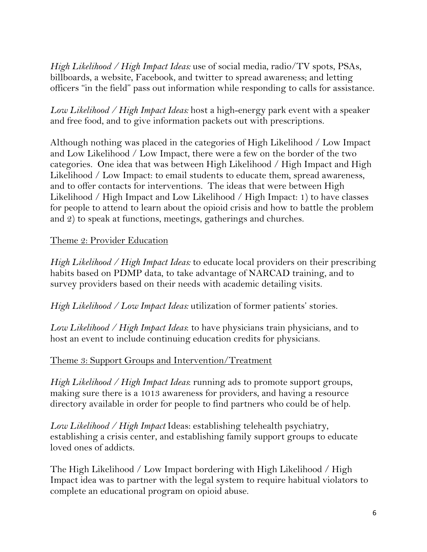*High Likelihood / High Impact Ideas:* use of social media, radio/TV spots, PSAs, billboards, a website, Facebook, and twitter to spread awareness; and letting officers "in the field" pass out information while responding to calls for assistance.

*Low Likelihood / High Impact Ideas:* host a high-energy park event with a speaker and free food, and to give information packets out with prescriptions.

Although nothing was placed in the categories of High Likelihood / Low Impact and Low Likelihood / Low Impact, there were a few on the border of the two categories. One idea that was between High Likelihood / High Impact and High Likelihood / Low Impact: to email students to educate them, spread awareness, and to offer contacts for interventions. The ideas that were between High Likelihood / High Impact and Low Likelihood / High Impact: 1) to have classes for people to attend to learn about the opioid crisis and how to battle the problem and 2) to speak at functions, meetings, gatherings and churches.

#### Theme 2: Provider Education

*High Likelihood / High Impact Ideas:* to educate local providers on their prescribing habits based on PDMP data, to take advantage of NARCAD training, and to survey providers based on their needs with academic detailing visits.

*High Likelihood / Low Impact Ideas:* utilization of former patients' stories.

*Low Likelihood / High Impact Ideas*: to have physicians train physicians, and to host an event to include continuing education credits for physicians.

#### Theme 3: Support Groups and Intervention/Treatment

*High Likelihood / High Impact Ideas*: running ads to promote support groups, making sure there is a 1013 awareness for providers, and having a resource directory available in order for people to find partners who could be of help.

*Low Likelihood / High Impact* Ideas: establishing telehealth psychiatry, establishing a crisis center, and establishing family support groups to educate loved ones of addicts.

The High Likelihood / Low Impact bordering with High Likelihood / High Impact idea was to partner with the legal system to require habitual violators to complete an educational program on opioid abuse.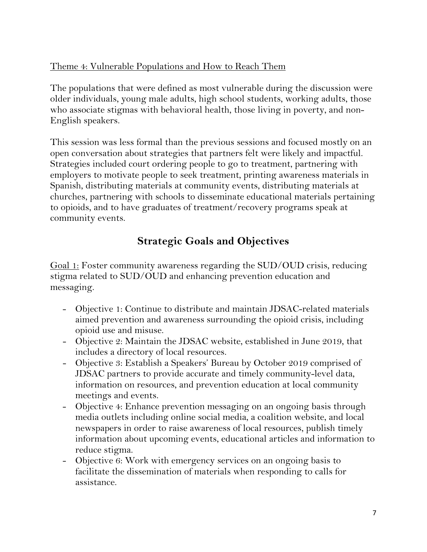### Theme 4: Vulnerable Populations and How to Reach Them

The populations that were defined as most vulnerable during the discussion were older individuals, young male adults, high school students, working adults, those who associate stigmas with behavioral health, those living in poverty, and non-English speakers.

This session was less formal than the previous sessions and focused mostly on an open conversation about strategies that partners felt were likely and impactful. Strategies included court ordering people to go to treatment, partnering with employers to motivate people to seek treatment, printing awareness materials in Spanish, distributing materials at community events, distributing materials at churches, partnering with schools to disseminate educational materials pertaining to opioids, and to have graduates of treatment/recovery programs speak at community events.

# **Strategic Goals and Objectives**

Goal 1: Foster community awareness regarding the SUD/OUD crisis, reducing stigma related to SUD/OUD and enhancing prevention education and messaging.

- Objective 1: Continue to distribute and maintain JDSAC-related materials aimed prevention and awareness surrounding the opioid crisis, including opioid use and misuse.
- Objective 2: Maintain the JDSAC website, established in June 2019, that includes a directory of local resources.
- Objective 3: Establish a Speakers' Bureau by October 2019 comprised of JDSAC partners to provide accurate and timely community-level data, information on resources, and prevention education at local community meetings and events.
- Objective 4: Enhance prevention messaging on an ongoing basis through media outlets including online social media, a coalition website, and local newspapers in order to raise awareness of local resources, publish timely information about upcoming events, educational articles and information to reduce stigma.
- Objective 6: Work with emergency services on an ongoing basis to facilitate the dissemination of materials when responding to calls for assistance.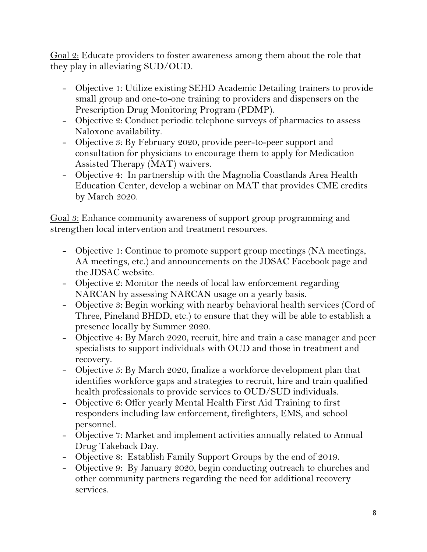Goal 2: Educate providers to foster awareness among them about the role that they play in alleviating SUD/OUD.

- Objective 1: Utilize existing SEHD Academic Detailing trainers to provide small group and one-to-one training to providers and dispensers on the Prescription Drug Monitoring Program (PDMP).
- Objective 2: Conduct periodic telephone surveys of pharmacies to assess Naloxone availability.
- Objective 3: By February 2020, provide peer-to-peer support and consultation for physicians to encourage them to apply for Medication Assisted Therapy (MAT) waivers.
- Objective 4: In partnership with the Magnolia Coastlands Area Health Education Center, develop a webinar on MAT that provides CME credits by March 2020.

Goal 3: Enhance community awareness of support group programming and strengthen local intervention and treatment resources.

- Objective 1: Continue to promote support group meetings (NA meetings, AA meetings, etc.) and announcements on the JDSAC Facebook page and the JDSAC website.
- Objective 2: Monitor the needs of local law enforcement regarding NARCAN by assessing NARCAN usage on a yearly basis.
- Objective 3: Begin working with nearby behavioral health services (Cord of Three, Pineland BHDD, etc.) to ensure that they will be able to establish a presence locally by Summer 2020.
- Objective 4: By March 2020, recruit, hire and train a case manager and peer specialists to support individuals with OUD and those in treatment and recovery.
- Objective 5: By March 2020, finalize a workforce development plan that identifies workforce gaps and strategies to recruit, hire and train qualified health professionals to provide services to OUD/SUD individuals.
- Objective 6: Offer yearly Mental Health First Aid Training to first responders including law enforcement, firefighters, EMS, and school personnel.
- Objective 7: Market and implement activities annually related to Annual Drug Takeback Day.
- Objective 8: Establish Family Support Groups by the end of 2019.
- Objective 9: By January 2020, begin conducting outreach to churches and other community partners regarding the need for additional recovery services.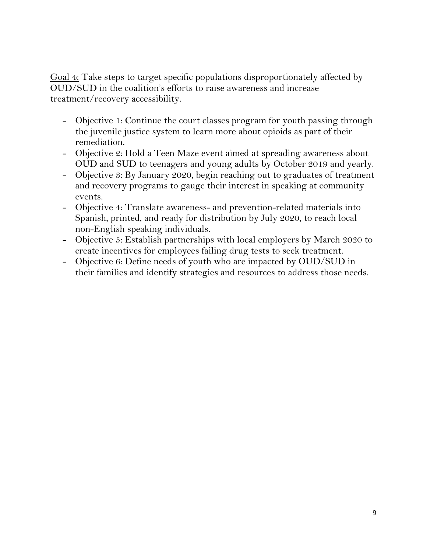Goal 4: Take steps to target specific populations disproportionately affected by OUD/SUD in the coalition's efforts to raise awareness and increase treatment/recovery accessibility.

- Objective 1: Continue the court classes program for youth passing through the juvenile justice system to learn more about opioids as part of their remediation.
- Objective 2: Hold a Teen Maze event aimed at spreading awareness about OUD and SUD to teenagers and young adults by October 2019 and yearly.
- Objective 3: By January 2020, begin reaching out to graduates of treatment and recovery programs to gauge their interest in speaking at community events.
- Objective 4: Translate awareness- and prevention-related materials into Spanish, printed, and ready for distribution by July 2020, to reach local non-English speaking individuals.
- Objective 5: Establish partnerships with local employers by March 2020 to create incentives for employees failing drug tests to seek treatment.
- Objective 6: Define needs of youth who are impacted by OUD/SUD in their families and identify strategies and resources to address those needs.